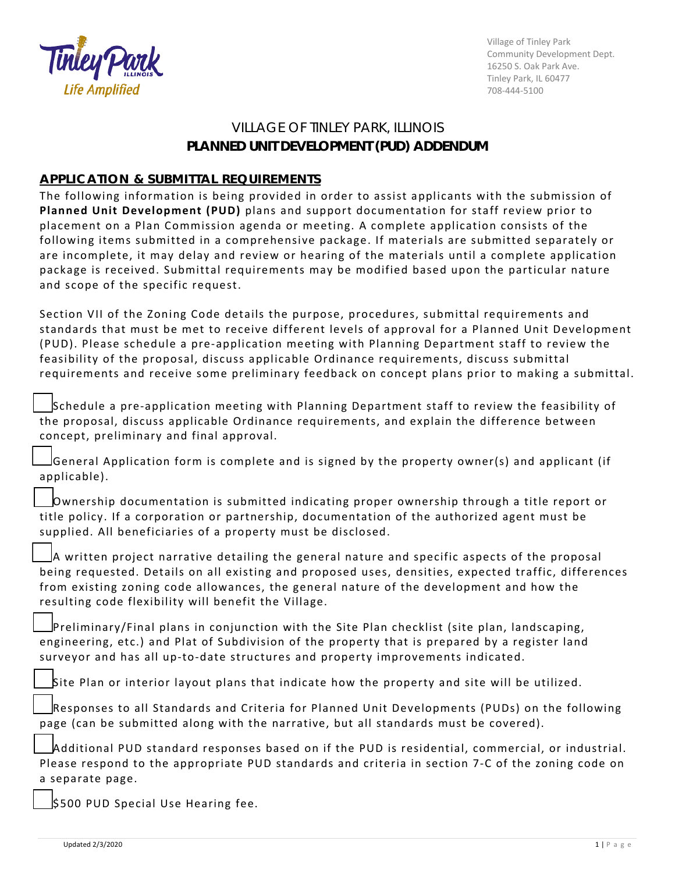

Village of Tinley Park Community Development Dept. 16250 S. Oak Park Ave. Tinley Park, IL 60477 708-444-5100

## VILLAGE OF TINLEY PARK, ILLINOIS **PLANNED UNIT DEVELOPMENT (PUD) ADDENDUM**

## **APPLICATION & SUBMITTAL REQUIREMENTS**

The following information is being provided in order to assist applicants with the submission of **Planned Unit Development (PUD)** plans and support documentation for staff review prior to placement on a Plan Commission agenda or meeting. A complete application consists of the following items submitted in a comprehensive package. If materials are submitted separately or are incomplete, it may delay and review or hearing of the materials until a complete application package is received. Submittal requirements may be modified based upon the particular nature and scope of the specific request.

Section VII of the Zoning Code details the purpose, procedures, submittal requirements and standards that must be met to receive different levels of approval for a Planned Unit Development (PUD). Please schedule a pre-application meeting with Planning Department staff to review the feasibility of the proposal, discuss applicable Ordinance requirements, discuss submittal requirements and receive some preliminary feedback on concept plans prior to making a submittal.

Schedule a pre-application meeting with Planning Department staff to review the feasibility of the proposal, discuss applicable Ordinance requirements, and explain the difference between concept, preliminary and final approval.

☐General Application form is complete and is signed by the property owner(s) and applicant (if applicable).

☐Ownership documentation is submitted indicating proper ownership through a title report or title policy. If a corporation or partnership, documentation of the authorized agent must be supplied. All beneficiaries of a property must be disclosed.

☐A written project narrative detailing the general nature and specific aspects of the proposal being requested. Details on all existing and proposed uses, densities, expected traffic, differences from existing zoning code allowances, the general nature of the development and how the resulting code flexibility will benefit the Village.

☐Preliminary/Final plans in conjunction with the Site Plan checklist (site plan, landscaping, engineering, etc.) and Plat of Subdivision of the property that is prepared by a register land surveyor and has all up-to-date structures and property improvements indicated.

Site Plan or interior layout plans that indicate how the property and site will be utilized.

Responses to all Standards and Criteria for Planned Unit Developments (PUDs) on the following page (can be submitted along with the narrative, but all standards must be covered).

☐Additional PUD standard responses based on if the PUD is residential, commercial, or industrial. Please respond to the appropriate PUD standards and criteria in section 7-C of the zoning code on a separate page.

☐\$500 PUD Special Use Hearing fee.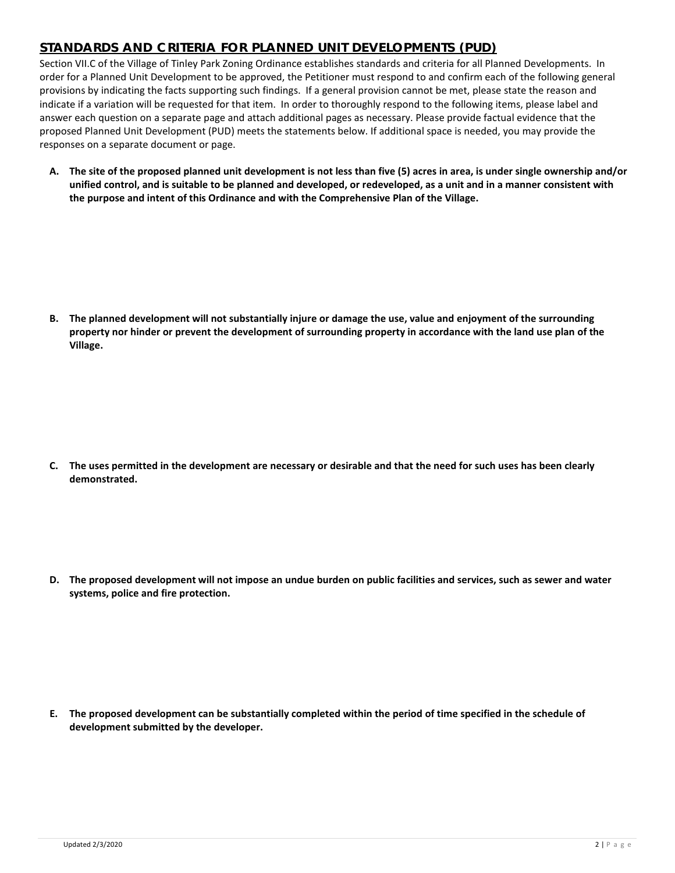## **STANDARDS AND CRITERIA FOR PLANNED UNIT DEVELOPMENTS (PUD)**

Section VII.C of the Village of Tinley Park Zoning Ordinance establishes standards and criteria for all Planned Developments. In order for a Planned Unit Development to be approved, the Petitioner must respond to and confirm each of the following general provisions by indicating the facts supporting such findings. If a general provision cannot be met, please state the reason and indicate if a variation will be requested for that item. In order to thoroughly respond to the following items, please label and answer each question on a separate page and attach additional pages as necessary. Please provide factual evidence that the proposed Planned Unit Development (PUD) meets the statements below. If additional space is needed, you may provide the responses on a separate document or page.

**A. The site of the proposed planned unit development is not less than five (5) acres in area, is under single ownership and/or unified control, and is suitable to be planned and developed, or redeveloped, as a unit and in a manner consistent with the purpose and intent of this Ordinance and with the Comprehensive Plan of the Village.**

**B. The planned development will not substantially injure or damage the use, value and enjoyment of the surrounding property nor hinder or prevent the development of surrounding property in accordance with the land use plan of the Village.**

**C. The uses permitted in the development are necessary or desirable and that the need for such uses has been clearly demonstrated.**

**D. The proposed development will not impose an undue burden on public facilities and services, such as sewer and water systems, police and fire protection.**

**E. The proposed development can be substantially completed within the period of time specified in the schedule of development submitted by the developer.**